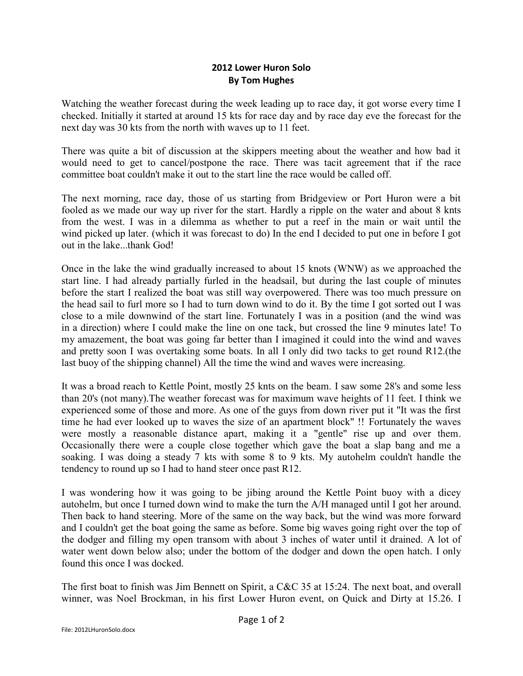## **2012 Lower Huron Solo By Tom Hughes**

Watching the weather forecast during the week leading up to race day, it got worse every time I checked. Initially it started at around 15 kts for race day and by race day eve the forecast for the next day was 30 kts from the north with waves up to 11 feet.

There was quite a bit of discussion at the skippers meeting about the weather and how bad it would need to get to cancel/postpone the race. There was tacit agreement that if the race committee boat couldn't make it out to the start line the race would be called off.

The next morning, race day, those of us starting from Bridgeview or Port Huron were a bit fooled as we made our way up river for the start. Hardly a ripple on the water and about 8 knts from the west. I was in a dilemma as whether to put a reef in the main or wait until the wind picked up later. (which it was forecast to do) In the end I decided to put one in before I got out in the lake...thank God!

Once in the lake the wind gradually increased to about 15 knots (WNW) as we approached the start line. I had already partially furled in the headsail, but during the last couple of minutes before the start I realized the boat was still way overpowered. There was too much pressure on the head sail to furl more so I had to turn down wind to do it. By the time I got sorted out I was close to a mile downwind of the start line. Fortunately I was in a position (and the wind was in a direction) where I could make the line on one tack, but crossed the line 9 minutes late! To my amazement, the boat was going far better than I imagined it could into the wind and waves and pretty soon I was overtaking some boats. In all I only did two tacks to get round R12.(the last buoy of the shipping channel) All the time the wind and waves were increasing.

It was a broad reach to Kettle Point, mostly 25 knts on the beam. I saw some 28's and some less than 20's (not many).The weather forecast was for maximum wave heights of 11 feet. I think we experienced some of those and more. As one of the guys from down river put it "It was the first time he had ever looked up to waves the size of an apartment block" !! Fortunately the waves were mostly a reasonable distance apart, making it a "gentle" rise up and over them. Occasionally there were a couple close together which gave the boat a slap bang and me a soaking. I was doing a steady 7 kts with some 8 to 9 kts. My autohelm couldn't handle the tendency to round up so I had to hand steer once past R12.

I was wondering how it was going to be jibing around the Kettle Point buoy with a dicey autohelm, but once I turned down wind to make the turn the A/H managed until I got her around. Then back to hand steering. More of the same on the way back, but the wind was more forward and I couldn't get the boat going the same as before. Some big waves going right over the top of the dodger and filling my open transom with about 3 inches of water until it drained. A lot of water went down below also; under the bottom of the dodger and down the open hatch. I only found this once I was docked.

The first boat to finish was Jim Bennett on Spirit, a C&C 35 at 15:24. The next boat, and overall winner, was Noel Brockman, in his first Lower Huron event, on Quick and Dirty at 15.26. I